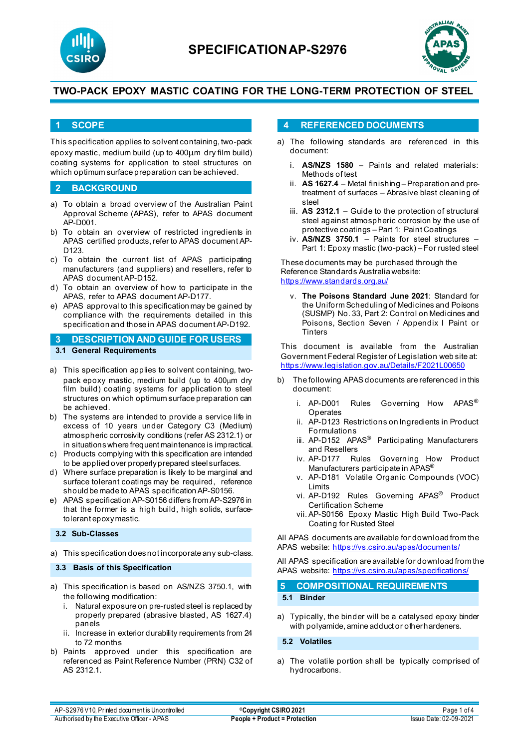



## **1 SCOPE**

This specification applies to solvent containing, two-pack epoxy mastic, medium build (up to 400µm dry film build) coating systems for application to steel structures on which optimum surface preparation can be achieved.

### **2 BACKGROUND**

- a) To obtain a broad overview of the Australian Paint Approval Scheme (APAS), refer to APAS document AP-D001.
- b) To obtain an overview of restricted ingredients in APAS certified products, refer to APAS document AP-D123.
- c) To obtain the current list of APAS participating manufacturers (and suppliers) and resellers, refer to APAS document AP-D152.
- d) To obtain an overview of how to participate in the APAS, refer to APAS document AP-D177.
- e) APAS approval to this specification may be gained by compliance with the requirements detailed in this specification and those in APAS document AP-D192.

## **3 DESCRIPTION AND GUIDE FOR USERS 3.1 General Requirements**

### a) This specification applies to solvent containing, twopack epoxy mastic, medium build (up to 400µm dry film build) coating systems for application to steel structures on which optimum surface preparation can

- be achieved. b) The systems are intended to provide a service life in excess of 10 years under Category C3 (Medium) atmospheric corrosivity conditions (refer AS 2312.1) or
- in situations where frequent maintenance is impractical. c) Products complying with this specification are intended
- to be applied over properly prepared steel surfaces. d) Where surface preparation is likely to be marginal and
- surface tolerant coatings may be required, reference should be made to APAS specification AP-S0156.
- e) APAS specification AP-S0156 differs from AP-S2976 in that the former is a high build, high solids, surfacetolerant epoxy mastic.

#### **3.2 Sub-Classes**

a) This specification does not incorporate any sub-class.

### **3.3 Basis of this Specification**

- a) This specification is based on AS/NZS 3750.1, with the following modification:
	- i. Natural exposure on pre-rusted steel is replaced by properly prepared (abrasive blasted, AS 1627.4) panels
	- ii. Increase in exterior durability requirements from 24 to 72 months
- b) Paints approved under this specification are referenced as Paint Reference Number (PRN) C32 of AS 2312.1.

## **4 REFERENCED DOCUMENTS**

- a) The following standards are referenced in this document:
	- i. **AS/NZS 1580** Paints and related materials: Methods of test
	- ii. **AS 1627.4** Metal finishing Preparation and pretreatment of surfaces – Abrasive blast cleaning of steel
	- iii. **AS 2312.1** Guide to the protection of structural steel against atmospheric corrosion by the use of protective coatings – Part 1: Paint Coatings
	- iv. **AS/NZS 3750.1** Paints for steel structures Part 1: Epoxy mastic (two-pack) – For rusted steel

These documents may be purchased through the Reference Standards Australia website: <https://www.standards.org.au/>

v. **The Poisons Standard June 2021**: Standard for the Uniform Scheduling of Medicines and Poisons (SUSMP) No. 33, Part 2: Control on Medicines and Poisons, Section Seven / Appendix I Paint or **Tinters** 

This document is available from the Australian Government Federal Register of Legislation web site at: <https://www.legislation.gov.au/Details/F2021L00650>

- b) The following APAS documents are referenced in this document:
	- i. AP-D001 Rules Governing How APAS® Operates
	- ii. AP-D123 Restrictions on Ingredients in Product Formulations
	- iii. AP-D152 APAS<sup>®</sup> Participating Manufacturers and Resellers
	- iv. AP-D177 Rules Governing How Product Manufacturers participate in APAS®
	- v. AP-D181 Volatile Organic Compounds (VOC) Limits
	- vi. AP-D192 Rules Governing APAS® Product Certification Scheme
	- vii. AP-S0156 Epoxy Mastic High Build Two-Pack Coating for Rusted Steel

All APAS documents are available for download from the APAS website: <https://vs.csiro.au/apas/documents/>

All APAS specification are available for download from the APAS website:<https://vs.csiro.au/apas/specifications/>

| 5 COMPOSITIONAL REQUIREMENTS |
|------------------------------|
| 5.1 Binder                   |

a) Typically, the binder will be a catalysed epoxy binder with polyamide, amine adduct or other hardeners.

### **5.2 Volatiles**

a) The volatile portion shall be typically comprised of hydrocarbons.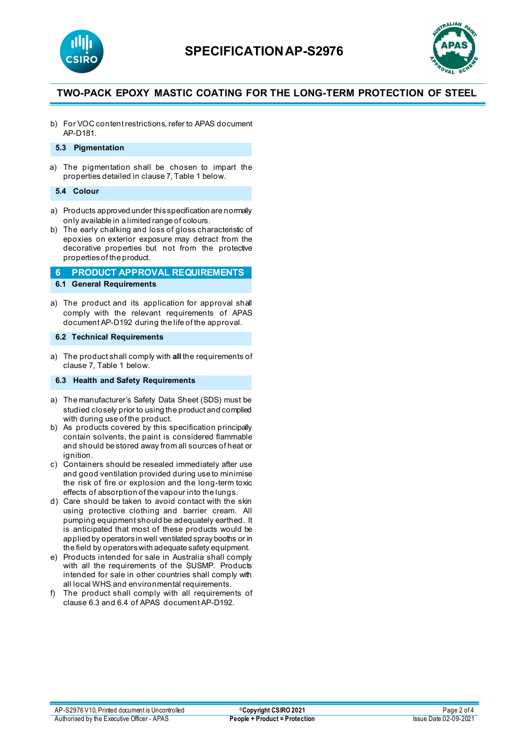



b) For VOC content restrictions, refer to APAS document AP-D181.

## **5.3 Pigmentation**

a) The pigmentation shall be chosen to impart the properties detailed in clause 7, Table 1 below.

#### **5.4 Colour**

- a) Products approved under this specification are normally only available in a limited range of colours.
- b) The early chalking and loss of gloss characteristic of epoxies on exterior exposure may detract from the decorative properties but not from the protective properties of the product.

## **6 PRODUCT APPROVAL REQUIREMENTS 6.1 General Requirements**

a) The product and its application for approval shall comply with the relevant requirements of APAS document AP-D192 during the life of the approval.

### **6.2 Technical Requirements**

a) The product shall comply with **all** the requirements of clause 7, Table 1 below.

**6.3 Health and Safety Requirements**

- a) The manufacturer's Safety Data Sheet (SDS) must be studied closely prior to using the product and complied with during use of the product.
- b) As products covered by this specification principally contain solvents, the paint is considered flammable and should be stored away from all sources of heat or ignition.
- c) Containers should be resealed immediately after use and good ventilation provided during use to minimise the risk of fire or explosion and the long-term toxic effects of absorption of the vapour into the lungs.
- d) Care should be taken to avoid contact with the skin using protective clothing and barrier cream. All pumping equipment should be adequately earthed. It is anticipated that most of these products would be applied by operators in well ventilated spray booths or in the field by operators with adequate safety equipment.
- e) Products intended for sale in Australia shall comply with all the requirements of the SUSMP. Products intended for sale in other countries shall comply with all local WHS and environmental requirements.
- f) The product shall comply with all requirements of clause 6.3 and 6.4 of APAS document AP-D192.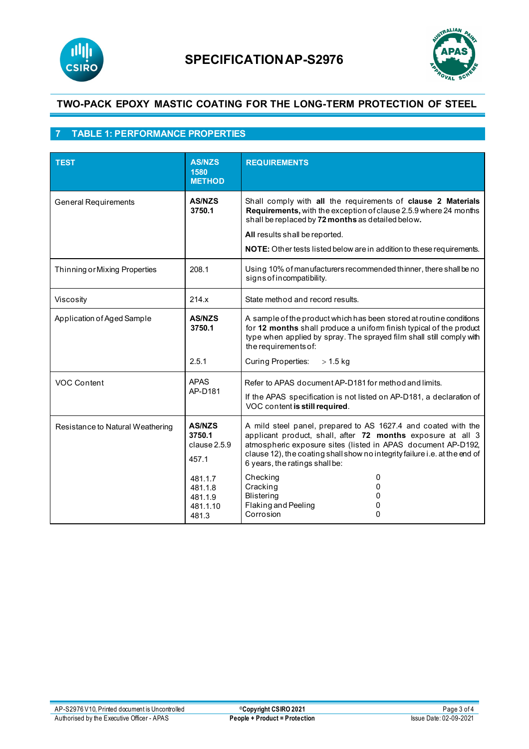



# **7 TABLE 1: PERFORMANCE PROPERTIES**

| <b>TEST</b>                                                                          | <b>AS/NZS</b><br>1580<br><b>METHOD</b>             | <b>REQUIREMENTS</b>                                                                                                                                                                                                                                                                                          |
|--------------------------------------------------------------------------------------|----------------------------------------------------|--------------------------------------------------------------------------------------------------------------------------------------------------------------------------------------------------------------------------------------------------------------------------------------------------------------|
| <b>General Requirements</b>                                                          | <b>AS/NZS</b><br>3750.1                            | Shall comply with all the requirements of clause 2 Materials<br>Requirements, with the exception of clause 2.5.9 where 24 months<br>shall be replaced by 72 months as detailed below.<br>All results shall be reported.<br>NOTE: Other tests listed below are in addition to these requirements.             |
| Thinning or Mixing Properties                                                        | 208.1                                              | Using 10% of manufacturers recommended thinner, there shall be no<br>signs of incompatibility.                                                                                                                                                                                                               |
| Viscosity                                                                            | 214.x                                              | State method and record results.                                                                                                                                                                                                                                                                             |
| Application of Aged Sample                                                           | <b>AS/NZS</b><br>3750.1<br>2.5.1                   | A sample of the product which has been stored at routine conditions<br>for 12 months shall produce a uniform finish typical of the product<br>type when applied by spray. The sprayed film shall still comply with<br>the requirements of:<br>Curing Properties:<br>$> 1.5$ kg                               |
| <b>VOC Content</b>                                                                   | <b>APAS</b><br>AP-D181                             | Refer to APAS document AP-D181 for method and limits.<br>If the APAS specification is not listed on AP-D181, a declaration of<br>VOC content is still required.                                                                                                                                              |
| <b>AS/NZS</b><br>Resistance to Natural Weathering<br>3750.1<br>clause 2.5.9<br>457.1 |                                                    | A mild steel panel, prepared to AS 1627.4 and coated with the<br>applicant product, shall, after 72 months exposure at all 3<br>atmospheric exposure sites (listed in APAS document AP-D192,<br>clause 12), the coating shall show no integrity failure i.e. at the end of<br>6 years, the ratings shall be: |
|                                                                                      | 481.1.7<br>481.1.8<br>481.1.9<br>481.1.10<br>481.3 | Checking<br>0<br>Cracking<br>0<br><b>Blistering</b><br>0<br>Flaking and Peeling<br>0<br>Corrosion<br>0                                                                                                                                                                                                       |